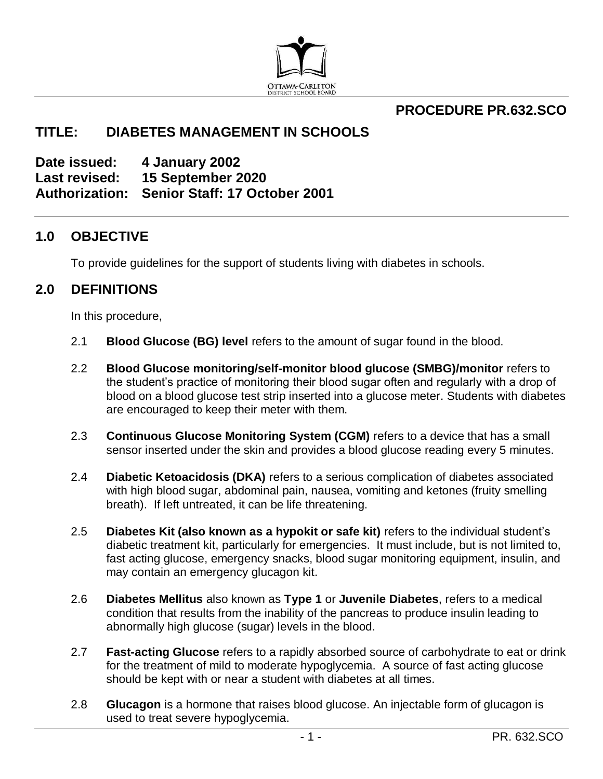

## **PROCEDURE PR.632.SCO**

## **TITLE: DIABETES MANAGEMENT IN SCHOOLS**

**Date issued: 4 January 2002 Last revised: 15 September 2020 Authorization: Senior Staff: 17 October 2001**

### **1.0 OBJECTIVE**

To provide guidelines for the support of students living with diabetes in schools.

### **2.0 DEFINITIONS**

In this procedure,

- 2.1 **Blood Glucose (BG) level** refers to the amount of sugar found in the blood.
- 2.2 **Blood Glucose monitoring/self-monitor blood glucose (SMBG)/monitor** refers to the student's practice of monitoring their blood sugar often and regularly with a drop of blood on a blood glucose test strip inserted into a glucose meter. Students with diabetes are encouraged to keep their meter with them.
- 2.3 **Continuous Glucose Monitoring System (CGM)** refers to a device that has a small sensor inserted under the skin and provides a blood glucose reading every 5 minutes.
- 2.4 **Diabetic Ketoacidosis (DKA)** refers to a serious complication of diabetes associated with high blood sugar, abdominal pain, nausea, vomiting and ketones (fruity smelling breath). If left untreated, it can be life threatening.
- 2.5 **Diabetes Kit (also known as a hypokit or safe kit)** refers to the individual student's diabetic treatment kit, particularly for emergencies. It must include, but is not limited to, fast acting glucose, emergency snacks, blood sugar monitoring equipment, insulin, and may contain an emergency glucagon kit.
- 2.6 **Diabetes Mellitus** also known as **Type 1** or **Juvenile Diabetes**, refers to a medical condition that results from the inability of the pancreas to produce insulin leading to abnormally high glucose (sugar) levels in the blood.
- 2.7 **Fast-acting Glucose** refers to a rapidly absorbed source of carbohydrate to eat or drink for the treatment of mild to moderate hypoglycemia. A source of fast acting glucose should be kept with or near a student with diabetes at all times.
- 2.8 **Glucagon** is a hormone that raises blood glucose. An injectable form of glucagon is used to treat severe hypoglycemia.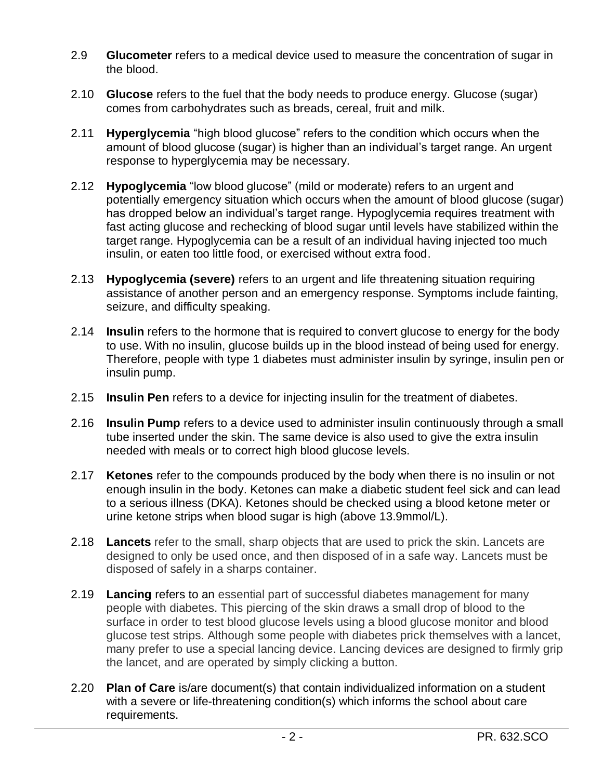- 2.9 **Glucometer** refers to a medical device used to measure the concentration of sugar in the blood.
- 2.10 **Glucose** refers to the fuel that the body needs to produce energy. Glucose (sugar) comes from carbohydrates such as breads, cereal, fruit and milk.
- 2.11 **Hyperglycemia** "high blood glucose" refers to the condition which occurs when the amount of blood glucose (sugar) is higher than an individual's target range. An urgent response to hyperglycemia may be necessary.
- 2.12 **Hypoglycemia** "low blood glucose" (mild or moderate) refers to an urgent and potentially emergency situation which occurs when the amount of blood glucose (sugar) has dropped below an individual's target range. Hypoglycemia requires treatment with fast acting glucose and rechecking of blood sugar until levels have stabilized within the target range. Hypoglycemia can be a result of an individual having injected too much insulin, or eaten too little food, or exercised without extra food.
- 2.13 **Hypoglycemia (severe)** refers to an urgent and life threatening situation requiring assistance of another person and an emergency response. Symptoms include fainting, seizure, and difficulty speaking.
- 2.14 **Insulin** refers to the hormone that is required to convert glucose to energy for the body to use. With no insulin, glucose builds up in the blood instead of being used for energy. Therefore, people with type 1 diabetes must administer insulin by syringe, insulin pen or insulin pump.
- 2.15 **Insulin Pen** refers to a device for injecting insulin for the treatment of diabetes.
- 2.16 **Insulin Pump** refers to a device used to administer insulin continuously through a small tube inserted under the skin. The same device is also used to give the extra insulin needed with meals or to correct high blood glucose levels.
- 2.17 **Ketones** refer to the compounds produced by the body when there is no insulin or not enough insulin in the body. Ketones can make a diabetic student feel sick and can lead to a serious illness (DKA). Ketones should be checked using a blood ketone meter or urine ketone strips when blood sugar is high (above 13.9mmol/L).
- 2.18 **Lancets** refer to the small, sharp objects that are used to prick the skin. Lancets are designed to only be used once, and then disposed of in a safe way. Lancets must be disposed of safely in a sharps container.
- 2.19 **Lancing** refers to an essential part of successful diabetes management for many people with diabetes. This piercing of the skin draws a small drop of blood to the surface in order to test blood glucose levels using a blood glucose monitor and blood glucose test strips. Although some people with diabetes prick themselves with a lancet, many prefer to use a special lancing device. Lancing devices are designed to firmly grip the lancet, and are operated by simply clicking a button.
- 2.20 **Plan of Care** is/are document(s) that contain individualized information on a student with a severe or life-threatening condition(s) which informs the school about care requirements.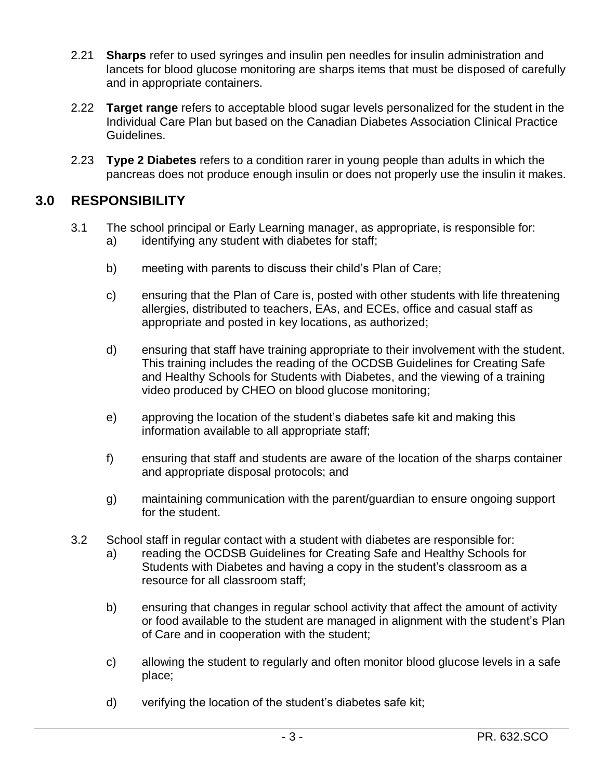- 2.21 **Sharps** refer to used syringes and insulin pen needles for insulin administration and lancets for blood glucose monitoring are sharps items that must be disposed of carefully and in appropriate containers.
- 2.22 **Target range** refers to acceptable blood sugar levels personalized for the student in the Individual Care Plan but based on the Canadian Diabetes Association Clinical Practice Guidelines.
- 2.23 **Type 2 Diabetes** refers to a condition rarer in young people than adults in which the pancreas does not produce enough insulin or does not properly use the insulin it makes.

## **3.0 RESPONSIBILITY**

- 3.1 The school principal or Early Learning manager, as appropriate, is responsible for: a) identifying any student with diabetes for staff;
	- b) meeting with parents to discuss their child's Plan of Care;
	- c) ensuring that the Plan of Care is, posted with other students with life threatening allergies, distributed to teachers, EAs, and ECEs, office and casual staff as appropriate and posted in key locations, as authorized;
	- d) ensuring that staff have training appropriate to their involvement with the student. This training includes the reading of the OCDSB Guidelines for Creating Safe and Healthy Schools for Students with Diabetes, and the viewing of a training video produced by CHEO on blood glucose monitoring;
	- e) approving the location of the student's diabetes safe kit and making this information available to all appropriate staff;
	- f) ensuring that staff and students are aware of the location of the sharps container and appropriate disposal protocols; and
	- g) maintaining communication with the parent/guardian to ensure ongoing support for the student.
- 3.2 School staff in regular contact with a student with diabetes are responsible for:
	- a) reading the OCDSB Guidelines for Creating Safe and Healthy Schools for Students with Diabetes and having a copy in the student's classroom as a resource for all classroom staff;
	- b) ensuring that changes in regular school activity that affect the amount of activity or food available to the student are managed in alignment with the student's Plan of Care and in cooperation with the student;
	- c) allowing the student to regularly and often monitor blood glucose levels in a safe place;
	- d) verifying the location of the student's diabetes safe kit;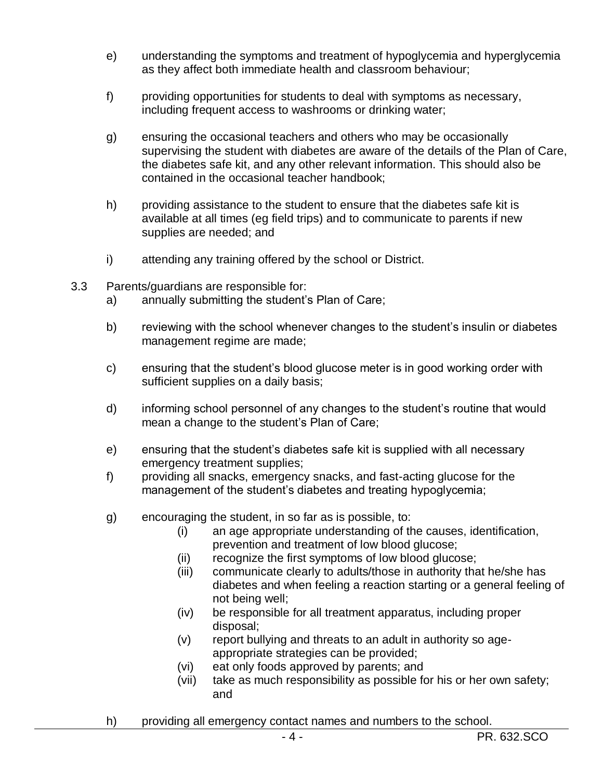- e) understanding the symptoms and treatment of hypoglycemia and hyperglycemia as they affect both immediate health and classroom behaviour;
- f) providing opportunities for students to deal with symptoms as necessary, including frequent access to washrooms or drinking water;
- g) ensuring the occasional teachers and others who may be occasionally supervising the student with diabetes are aware of the details of the Plan of Care, the diabetes safe kit, and any other relevant information. This should also be contained in the occasional teacher handbook;
- h) providing assistance to the student to ensure that the diabetes safe kit is available at all times (eg field trips) and to communicate to parents if new supplies are needed; and
- i) attending any training offered by the school or District.
- 3.3 Parents/guardians are responsible for:
	- a) annually submitting the student's Plan of Care;
	- b) reviewing with the school whenever changes to the student's insulin or diabetes management regime are made;
	- c) ensuring that the student's blood glucose meter is in good working order with sufficient supplies on a daily basis;
	- d) informing school personnel of any changes to the student's routine that would mean a change to the student's Plan of Care;
	- e) ensuring that the student's diabetes safe kit is supplied with all necessary emergency treatment supplies;
	- f) providing all snacks, emergency snacks, and fast-acting glucose for the management of the student's diabetes and treating hypoglycemia;
	- g) encouraging the student, in so far as is possible, to:
		- (i) an age appropriate understanding of the causes, identification, prevention and treatment of low blood glucose;
		- (ii) recognize the first symptoms of low blood glucose;
		- (iii) communicate clearly to adults/those in authority that he/she has diabetes and when feeling a reaction starting or a general feeling of not being well;
		- (iv) be responsible for all treatment apparatus, including proper disposal;
		- (v) report bullying and threats to an adult in authority so ageappropriate strategies can be provided;
		- (vi) eat only foods approved by parents; and
		- (vii) take as much responsibility as possible for his or her own safety; and
	- h) providing all emergency contact names and numbers to the school.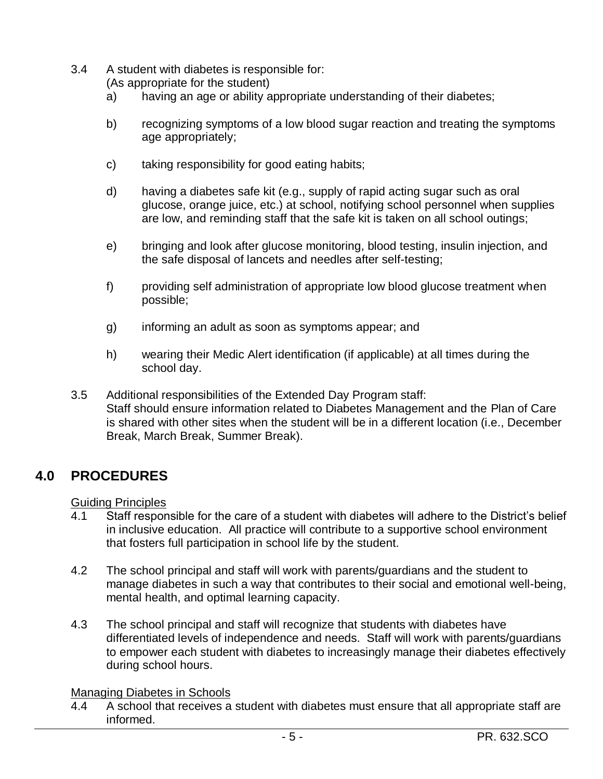3.4 A student with diabetes is responsible for:

(As appropriate for the student)

- a) having an age or ability appropriate understanding of their diabetes;
- b) recognizing symptoms of a low blood sugar reaction and treating the symptoms age appropriately;
- c) taking responsibility for good eating habits;
- d) having a diabetes safe kit (e.g., supply of rapid acting sugar such as oral glucose, orange juice, etc.) at school, notifying school personnel when supplies are low, and reminding staff that the safe kit is taken on all school outings;
- e) bringing and look after glucose monitoring, blood testing, insulin injection, and the safe disposal of lancets and needles after self-testing;
- f) providing self administration of appropriate low blood glucose treatment when possible;
- g) informing an adult as soon as symptoms appear; and
- h) wearing their Medic Alert identification (if applicable) at all times during the school day.
- 3.5 Additional responsibilities of the Extended Day Program staff: Staff should ensure information related to Diabetes Management and the Plan of Care is shared with other sites when the student will be in a different location (i.e., December Break, March Break, Summer Break).

# **4.0 PROCEDURES**

Guiding Principles

- 4.1 Staff responsible for the care of a student with diabetes will adhere to the District's belief in inclusive education. All practice will contribute to a supportive school environment that fosters full participation in school life by the student.
- 4.2 The school principal and staff will work with parents/guardians and the student to manage diabetes in such a way that contributes to their social and emotional well-being, mental health, and optimal learning capacity.
- 4.3 The school principal and staff will recognize that students with diabetes have differentiated levels of independence and needs. Staff will work with parents/guardians to empower each student with diabetes to increasingly manage their diabetes effectively during school hours.

#### Managing Diabetes in Schools

4.4 A school that receives a student with diabetes must ensure that all appropriate staff are informed.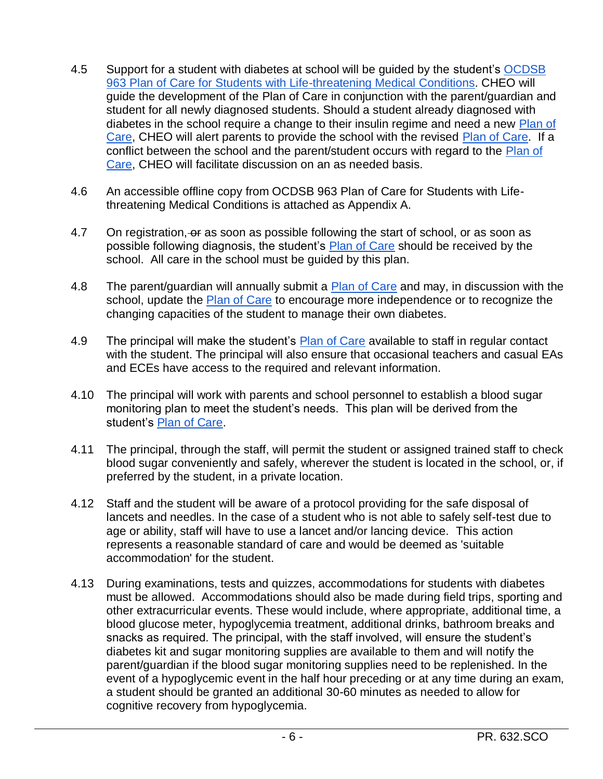- 4.5 Support for a student with diabetes at school will be guided by the student's OCDSB [963 Plan of Care for Students with Life-threatening Medical Conditions.](https://forms.ocdsb.ca/Forms/Plan-Of-Care-For-Students-With-Life-Threatening-Medical-Conditions) CHEO will guide the development of the Plan of Care in conjunction with the parent/guardian and student for all newly diagnosed students. Should a student already diagnosed with diabetes in the school require a change to their insulin regime and need a new [Plan of](https://forms.ocdsb.ca/Forms/Plan-Of-Care-For-Students-With-Life-Threatening-Medical-Conditions)  [Care,](https://forms.ocdsb.ca/Forms/Plan-Of-Care-For-Students-With-Life-Threatening-Medical-Conditions) CHEO will alert parents to provide the school with the revised [Plan of Care.](https://forms.ocdsb.ca/Forms/Plan-Of-Care-For-Students-With-Life-Threatening-Medical-Conditions) If a conflict between the school and the parent/student occurs with regard to the Plan of [Care,](https://forms.ocdsb.ca/Forms/Plan-Of-Care-For-Students-With-Life-Threatening-Medical-Conditions) CHEO will facilitate discussion on an as needed basis.
- 4.6 An accessible offline copy from OCDSB 963 Plan of Care for Students with Lifethreatening Medical Conditions is attached as Appendix A.
- 4.7 On registration, or as soon as possible following the start of school, or as soon as possible following diagnosis, the student's [Plan of Care](https://forms.ocdsb.ca/Forms/Plan-Of-Care-For-Students-With-Life-Threatening-Medical-Conditions) should be received by the school. All care in the school must be guided by this plan.
- 4.8 The parent/guardian will annually submit a **Plan of Care and may, in discussion with the** school, update the [Plan of Care](https://forms.ocdsb.ca/Forms/Plan-Of-Care-For-Students-With-Life-Threatening-Medical-Conditions) to encourage more independence or to recognize the changing capacities of the student to manage their own diabetes.
- 4.9 The principal will make the student's [Plan of Care](https://forms.ocdsb.ca/Forms/Plan-Of-Care-For-Students-With-Life-Threatening-Medical-Conditions) available to staff in regular contact with the student. The principal will also ensure that occasional teachers and casual EAs and ECEs have access to the required and relevant information.
- 4.10 The principal will work with parents and school personnel to establish a blood sugar monitoring plan to meet the student's needs. This plan will be derived from the student's [Plan of Care.](https://forms.ocdsb.ca/Forms/Plan-Of-Care-For-Students-With-Life-Threatening-Medical-Conditions)
- 4.11 The principal, through the staff, will permit the student or assigned trained staff to check blood sugar conveniently and safely, wherever the student is located in the school, or, if preferred by the student, in a private location.
- 4.12 Staff and the student will be aware of a protocol providing for the safe disposal of lancets and needles. In the case of a student who is not able to safely self-test due to age or ability, staff will have to use a lancet and/or lancing device. This action represents a reasonable standard of care and would be deemed as 'suitable accommodation' for the student.
- 4.13 During examinations, tests and quizzes, accommodations for students with diabetes must be allowed. Accommodations should also be made during field trips, sporting and other extracurricular events. These would include, where appropriate, additional time, a blood glucose meter, hypoglycemia treatment, additional drinks, bathroom breaks and snacks as required. The principal, with the staff involved, will ensure the student's diabetes kit and sugar monitoring supplies are available to them and will notify the parent/guardian if the blood sugar monitoring supplies need to be replenished. In the event of a hypoglycemic event in the half hour preceding or at any time during an exam, a student should be granted an additional 30-60 minutes as needed to allow for cognitive recovery from hypoglycemia.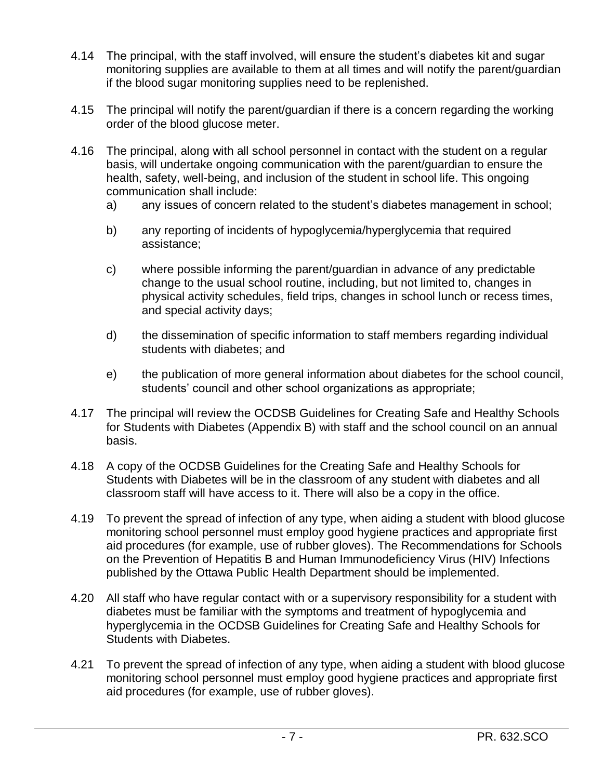- 4.14 The principal, with the staff involved, will ensure the student's diabetes kit and sugar monitoring supplies are available to them at all times and will notify the parent/guardian if the blood sugar monitoring supplies need to be replenished.
- 4.15 The principal will notify the parent/guardian if there is a concern regarding the working order of the blood glucose meter.
- 4.16 The principal, along with all school personnel in contact with the student on a regular basis, will undertake ongoing communication with the parent/guardian to ensure the health, safety, well-being, and inclusion of the student in school life. This ongoing communication shall include:
	- a) any issues of concern related to the student's diabetes management in school;
	- b) any reporting of incidents of hypoglycemia/hyperglycemia that required assistance;
	- c) where possible informing the parent/guardian in advance of any predictable change to the usual school routine, including, but not limited to, changes in physical activity schedules, field trips, changes in school lunch or recess times, and special activity days;
	- d) the dissemination of specific information to staff members regarding individual students with diabetes; and
	- e) the publication of more general information about diabetes for the school council, students' council and other school organizations as appropriate;
- 4.17 The principal will review the OCDSB Guidelines for Creating Safe and Healthy Schools for Students with Diabetes (Appendix B) with staff and the school council on an annual basis.
- 4.18 A copy of the OCDSB Guidelines for the Creating Safe and Healthy Schools for Students with Diabetes will be in the classroom of any student with diabetes and all classroom staff will have access to it. There will also be a copy in the office.
- 4.19 To prevent the spread of infection of any type, when aiding a student with blood glucose monitoring school personnel must employ good hygiene practices and appropriate first aid procedures (for example, use of rubber gloves). The Recommendations for Schools on the Prevention of Hepatitis B and Human Immunodeficiency Virus (HIV) Infections published by the Ottawa Public Health Department should be implemented.
- 4.20 All staff who have regular contact with or a supervisory responsibility for a student with diabetes must be familiar with the symptoms and treatment of hypoglycemia and hyperglycemia in the OCDSB Guidelines for Creating Safe and Healthy Schools for Students with Diabetes.
- 4.21 To prevent the spread of infection of any type, when aiding a student with blood glucose monitoring school personnel must employ good hygiene practices and appropriate first aid procedures (for example, use of rubber gloves).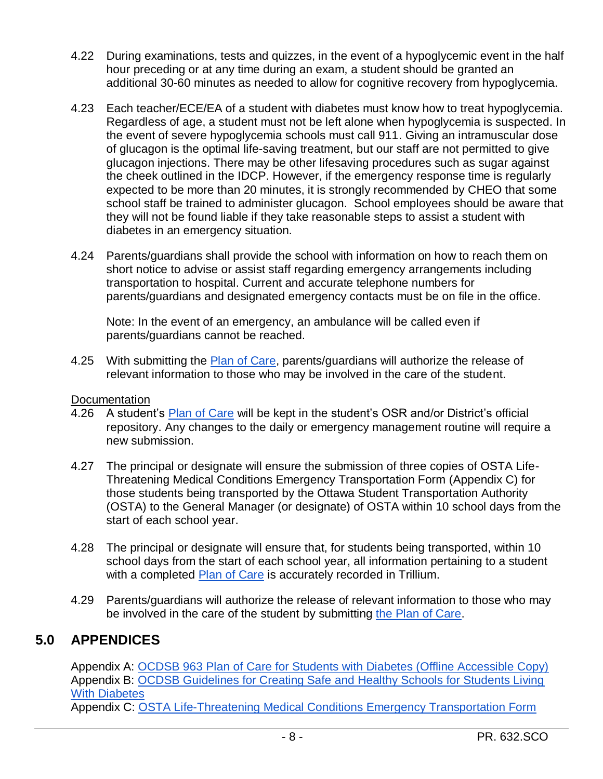- 4.22 During examinations, tests and quizzes, in the event of a hypoglycemic event in the half hour preceding or at any time during an exam, a student should be granted an additional 30-60 minutes as needed to allow for cognitive recovery from hypoglycemia.
- 4.23 Each teacher/ECE/EA of a student with diabetes must know how to treat hypoglycemia. Regardless of age, a student must not be left alone when hypoglycemia is suspected. In the event of severe hypoglycemia schools must call 911. Giving an intramuscular dose of glucagon is the optimal life-saving treatment, but our staff are not permitted to give glucagon injections. There may be other lifesaving procedures such as sugar against the cheek outlined in the IDCP. However, if the emergency response time is regularly expected to be more than 20 minutes, it is strongly recommended by CHEO that some school staff be trained to administer glucagon. School employees should be aware that they will not be found liable if they take reasonable steps to assist a student with diabetes in an emergency situation.
- 4.24 Parents/guardians shall provide the school with information on how to reach them on short notice to advise or assist staff regarding emergency arrangements including transportation to hospital. Current and accurate telephone numbers for parents/guardians and designated emergency contacts must be on file in the office.

Note: In the event of an emergency, an ambulance will be called even if parents/guardians cannot be reached.

4.25 With submitting the [Plan of Care,](https://forms.ocdsb.ca/Forms/Plan-Of-Care-For-Students-With-Life-Threatening-Medical-Conditions) parents/guardians will authorize the release of relevant information to those who may be involved in the care of the student.

#### **Documentation**

- 4.26 A student's [Plan of Care](https://forms.ocdsb.ca/Forms/Plan-Of-Care-For-Students-With-Life-Threatening-Medical-Conditions) will be kept in the student's OSR and/or District's official repository. Any changes to the daily or emergency management routine will require a new submission.
- 4.27 The principal or designate will ensure the submission of three copies of OSTA Life-Threatening Medical Conditions Emergency Transportation Form (Appendix C) for those students being transported by the Ottawa Student Transportation Authority (OSTA) to the General Manager (or designate) of OSTA within 10 school days from the start of each school year.
- 4.28 The principal or designate will ensure that, for students being transported, within 10 school days from the start of each school year, all information pertaining to a student with a completed [Plan of Care](https://forms.ocdsb.ca/Forms/Plan-Of-Care-For-Students-With-Life-Threatening-Medical-Conditions) is accurately recorded in Trillium.
- 4.29 Parents/guardians will authorize the release of relevant information to those who may be involved in the care of the student by submitting [the Plan of Care.](https://forms.ocdsb.ca/Forms/Plan-Of-Care-For-Students-With-Life-Threatening-Medical-Conditions)

## **5.0 APPENDICES**

Appendix A: [OCDSB 963 Plan of Care for Students with Diabetes \(Offline Accessible Copy\)](https://weblink.ocdsb.ca/WebLink/ElectronicFile.aspx?docid=3975309&dbid=0&repo=OCDSB) Appendix B: [OCDSB Guidelines for Creating Safe and Healthy Schools for Students Living](https://weblink.ocdsb.ca/WebLink/DocView.aspx?id=3968700&dbid=0&repo=OCDSB)  [With Diabetes](https://weblink.ocdsb.ca/WebLink/DocView.aspx?id=3968700&dbid=0&repo=OCDSB) 

Appendix C: [OSTA Life-Threatening Medical Conditions Emergency Transportation Form](https://weblink.ocdsb.ca/WebLink/DocView.aspx?id=3968667&dbid=0&repo=OCDSB)